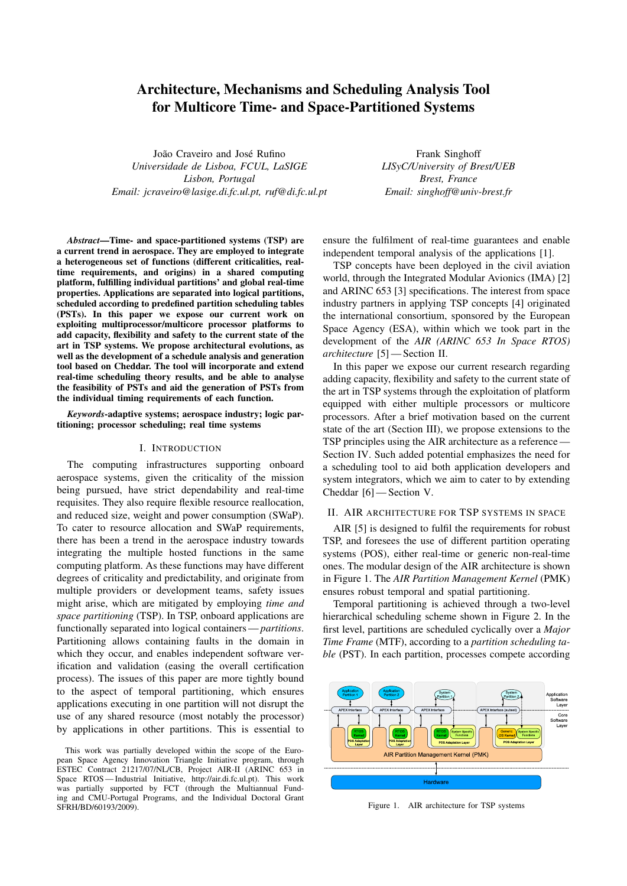# Architecture, Mechanisms and Scheduling Analysis Tool for Multicore Time- and Space-Partitioned Systems

João Craveiro and José Rufino *Universidade de Lisboa, FCUL, LaSIGE Lisbon, Portugal Email: jcraveiro@lasige.di.fc.ul.pt, ruf@di.fc.ul.pt*

Frank Singhoff *LISyC/University of Brest/UEB Brest, France Email: singhoff@univ-brest.fr*

*Abstract*—Time- and space-partitioned systems (TSP) are a current trend in aerospace. They are employed to integrate a heterogeneous set of functions (different criticalities, realtime requirements, and origins) in a shared computing platform, fulfilling individual partitions' and global real-time properties. Applications are separated into logical partitions, scheduled according to predefined partition scheduling tables (PSTs). In this paper we expose our current work on exploiting multiprocessor/multicore processor platforms to add capacity, flexibility and safety to the current state of the art in TSP systems. We propose architectural evolutions, as well as the development of a schedule analysis and generation tool based on Cheddar. The tool will incorporate and extend real-time scheduling theory results, and be able to analyse the feasibility of PSTs and aid the generation of PSTs from the individual timing requirements of each function.

*Keywords*-adaptive systems; aerospace industry; logic partitioning; processor scheduling; real time systems

#### I. INTRODUCTION

The computing infrastructures supporting onboard aerospace systems, given the criticality of the mission being pursued, have strict dependability and real-time requisites. They also require flexible resource reallocation, and reduced size, weight and power consumption (SWaP). To cater to resource allocation and SWaP requirements, there has been a trend in the aerospace industry towards integrating the multiple hosted functions in the same computing platform. As these functions may have different degrees of criticality and predictability, and originate from multiple providers or development teams, safety issues might arise, which are mitigated by employing *time and space partitioning* (TSP). In TSP, onboard applications are functionally separated into logical containers —*partitions*. Partitioning allows containing faults in the domain in which they occur, and enables independent software verification and validation (easing the overall certification process). The issues of this paper are more tightly bound to the aspect of temporal partitioning, which ensures applications executing in one partition will not disrupt the use of any shared resource (most notably the processor) by applications in other partitions. This is essential to ensure the fulfilment of real-time guarantees and enable independent temporal analysis of the applications [1].

TSP concepts have been deployed in the civil aviation world, through the Integrated Modular Avionics (IMA) [2] and ARINC 653 [3] specifications. The interest from space industry partners in applying TSP concepts [4] originated the international consortium, sponsored by the European Space Agency (ESA), within which we took part in the development of the *AIR (ARINC 653 In Space RTOS) architecture* [5] — Section II.

In this paper we expose our current research regarding adding capacity, flexibility and safety to the current state of the art in TSP systems through the exploitation of platform equipped with either multiple processors or multicore processors. After a brief motivation based on the current state of the art (Section III), we propose extensions to the TSP principles using the AIR architecture as a reference — Section IV. Such added potential emphasizes the need for a scheduling tool to aid both application developers and system integrators, which we aim to cater to by extending Cheddar [6] — Section V.

#### II. AIR ARCHITECTURE FOR TSP SYSTEMS IN SPACE

AIR [5] is designed to fulfil the requirements for robust TSP, and foresees the use of different partition operating systems (POS), either real-time or generic non-real-time ones. The modular design of the AIR architecture is shown in Figure 1. The *AIR Partition Management Kernel* (PMK) ensures robust temporal and spatial partitioning.

Temporal partitioning is achieved through a two-level hierarchical scheduling scheme shown in Figure 2. In the first level, partitions are scheduled cyclically over a *Major Time Frame* (MTF), according to a *partition scheduling table* (PST). In each partition, processes compete according



Figure 1. AIR architecture for TSP systems

This work was partially developed within the scope of the European Space Agency Innovation Triangle Initiative program, through ESTEC Contract 21217/07/NL/CB, Project AIR-II (ARINC 653 in Space RTOS — Industrial Initiative, http://air.di.fc.ul.pt). This work was partially supported by FCT (through the Multiannual Funding and CMU-Portugal Programs, and the Individual Doctoral Grant SFRH/BD/60193/2009).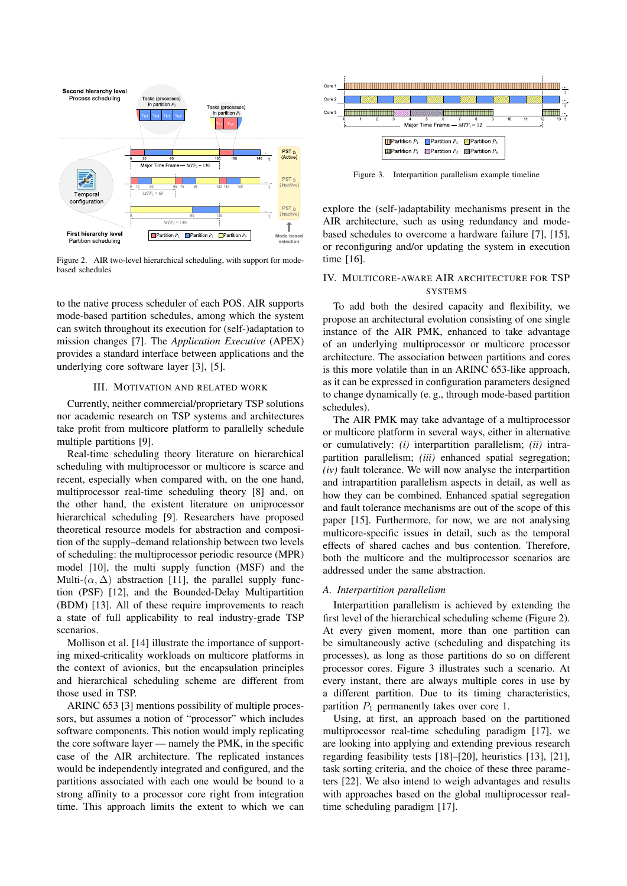

Figure 2. AIR two-level hierarchical scheduling, with support for modebased schedules

to the native process scheduler of each POS. AIR supports mode-based partition schedules, among which the system can switch throughout its execution for (self-)adaptation to mission changes [7]. The *Application Executive* (APEX) provides a standard interface between applications and the underlying core software layer [3], [5].

## III. MOTIVATION AND RELATED WORK

Currently, neither commercial/proprietary TSP solutions nor academic research on TSP systems and architectures take profit from multicore platform to parallelly schedule multiple partitions [9].

Real-time scheduling theory literature on hierarchical scheduling with multiprocessor or multicore is scarce and recent, especially when compared with, on the one hand, multiprocessor real-time scheduling theory [8] and, on the other hand, the existent literature on uniprocessor hierarchical scheduling [9]. Researchers have proposed theoretical resource models for abstraction and composition of the supply–demand relationship between two levels of scheduling: the multiprocessor periodic resource (MPR) model [10], the multi supply function (MSF) and the Multi- $(\alpha, \Delta)$  abstraction [11], the parallel supply function (PSF) [12], and the Bounded-Delay Multipartition (BDM) [13]. All of these require improvements to reach a state of full applicability to real industry-grade TSP scenarios.

Mollison et al. [14] illustrate the importance of supporting mixed-criticality workloads on multicore platforms in the context of avionics, but the encapsulation principles and hierarchical scheduling scheme are different from those used in TSP.

ARINC 653 [3] mentions possibility of multiple processors, but assumes a notion of "processor" which includes software components. This notion would imply replicating the core software layer — namely the PMK, in the specific case of the AIR architecture. The replicated instances would be independently integrated and configured, and the partitions associated with each one would be bound to a strong affinity to a processor core right from integration time. This approach limits the extent to which we can



Figure 3. Interpartition parallelism example timeline

explore the (self-)adaptability mechanisms present in the AIR architecture, such as using redundancy and modebased schedules to overcome a hardware failure [7], [15], or reconfiguring and/or updating the system in execution time [16].

# IV. MULTICORE-AWARE AIR ARCHITECTURE FOR TSP **SYSTEMS**

To add both the desired capacity and flexibility, we propose an architectural evolution consisting of one single instance of the AIR PMK, enhanced to take advantage of an underlying multiprocessor or multicore processor architecture. The association between partitions and cores is this more volatile than in an ARINC 653-like approach, as it can be expressed in configuration parameters designed to change dynamically (e. g., through mode-based partition schedules).

The AIR PMK may take advantage of a multiprocessor or multicore platform in several ways, either in alternative or cumulatively: *(i)* interpartition parallelism; *(ii)* intrapartition parallelism; *(iii)* enhanced spatial segregation; *(iv)* fault tolerance. We will now analyse the interpartition and intrapartition parallelism aspects in detail, as well as how they can be combined. Enhanced spatial segregation and fault tolerance mechanisms are out of the scope of this paper [15]. Furthermore, for now, we are not analysing multicore-specific issues in detail, such as the temporal effects of shared caches and bus contention. Therefore, both the multicore and the multiprocessor scenarios are addressed under the same abstraction.

#### *A. Interpartition parallelism*

Interpartition parallelism is achieved by extending the first level of the hierarchical scheduling scheme (Figure 2). At every given moment, more than one partition can be simultaneously active (scheduling and dispatching its processes), as long as those partitions do so on different processor cores. Figure 3 illustrates such a scenario. At every instant, there are always multiple cores in use by a different partition. Due to its timing characteristics, partition  $P_1$  permanently takes over core 1.

Using, at first, an approach based on the partitioned multiprocessor real-time scheduling paradigm [17], we are looking into applying and extending previous research regarding feasibility tests [18]–[20], heuristics [13], [21], task sorting criteria, and the choice of these three parameters [22]. We also intend to weigh advantages and results with approaches based on the global multiprocessor realtime scheduling paradigm [17].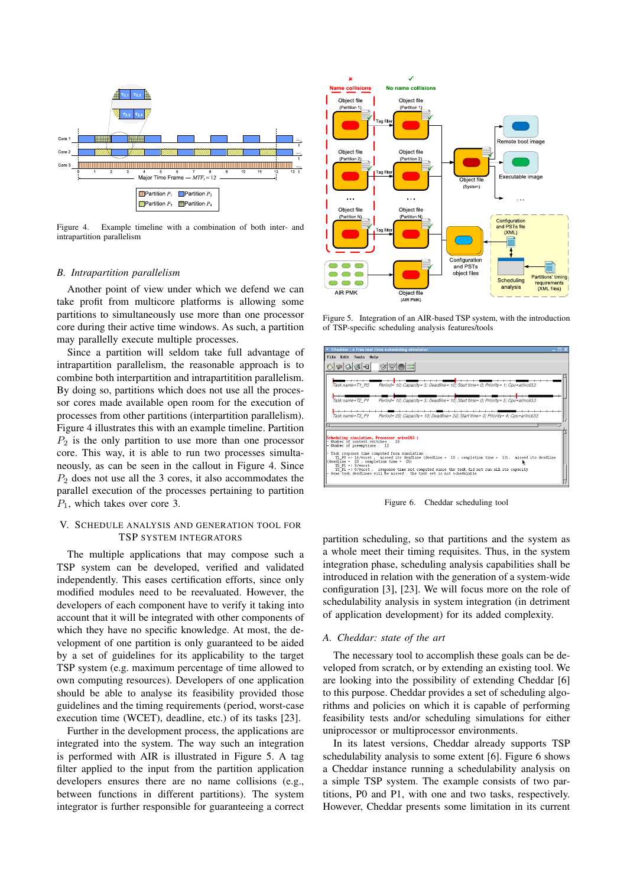

Figure 4. Example timeline with a combination of both inter- and intrapartition parallelism

## *B. Intrapartition parallelism*

Another point of view under which we defend we can take profit from multicore platforms is allowing some partitions to simultaneously use more than one processor core during their active time windows. As such, a partition may parallelly execute multiple processes.

Since a partition will seldom take full advantage of intrapartition parallelism, the reasonable approach is to combine both interpartition and intrapartitition parallelism. By doing so, partitions which does not use all the processor cores made available open room for the execution of processes from other partitions (interpartition parallelism). Figure 4 illustrates this with an example timeline. Partition  $P_2$  is the only partition to use more than one processor core. This way, it is able to run two processes simultaneously, as can be seen in the callout in Figure 4. Since  $P_2$  does not use all the 3 cores, it also accommodates the parallel execution of the processes pertaining to partition  $P_1$ , which takes over core 3.

# V. SCHEDULE ANALYSIS AND GENERATION TOOL FOR TSP SYSTEM INTEGRATORS

The multiple applications that may compose such a TSP system can be developed, verified and validated independently. This eases certification efforts, since only modified modules need to be reevaluated. However, the developers of each component have to verify it taking into account that it will be integrated with other components of which they have no specific knowledge. At most, the development of one partition is only guaranteed to be aided by a set of guidelines for its applicability to the target TSP system (e.g. maximum percentage of time allowed to own computing resources). Developers of one application should be able to analyse its feasibility provided those guidelines and the timing requirements (period, worst-case execution time (WCET), deadline, etc.) of its tasks [23].

Further in the development process, the applications are integrated into the system. The way such an integration is performed with AIR is illustrated in Figure 5. A tag filter applied to the input from the partition application developers ensures there are no name collisions (e.g., between functions in different partitions). The system integrator is further responsible for guaranteeing a correct



Figure 5. Integration of an AIR-based TSP system, with the introduction of TSP-specific scheduling analysis features/tools



Figure 6. Cheddar scheduling tool

partition scheduling, so that partitions and the system as a whole meet their timing requisites. Thus, in the system integration phase, scheduling analysis capabilities shall be introduced in relation with the generation of a system-wide configuration [3], [23]. We will focus more on the role of schedulability analysis in system integration (in detriment of application development) for its added complexity.

### *A. Cheddar: state of the art*

The necessary tool to accomplish these goals can be developed from scratch, or by extending an existing tool. We are looking into the possibility of extending Cheddar [6] to this purpose. Cheddar provides a set of scheduling algorithms and policies on which it is capable of performing feasibility tests and/or scheduling simulations for either uniprocessor or multiprocessor environments.

In its latest versions, Cheddar already supports TSP schedulability analysis to some extent [6]. Figure 6 shows a Cheddar instance running a schedulability analysis on a simple TSP system. The example consists of two partitions, P0 and P1, with one and two tasks, respectively. However, Cheddar presents some limitation in its current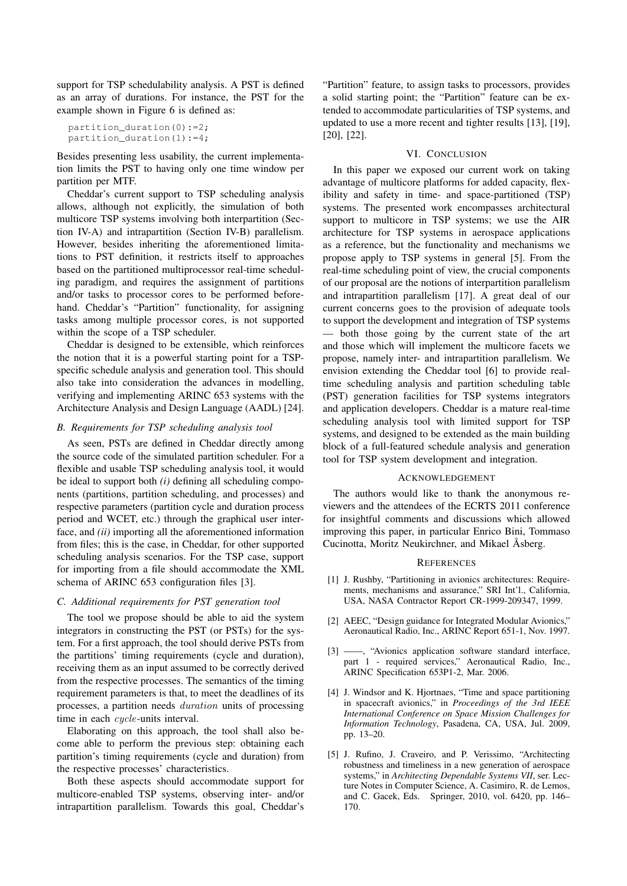support for TSP schedulability analysis. A PST is defined as an array of durations. For instance, the PST for the example shown in Figure 6 is defined as:

```
partition duration(0):=2;
partition_duration(1):=4;
```
Besides presenting less usability, the current implementation limits the PST to having only one time window per partition per MTF.

Cheddar's current support to TSP scheduling analysis allows, although not explicitly, the simulation of both multicore TSP systems involving both interpartition (Section IV-A) and intrapartition (Section IV-B) parallelism. However, besides inheriting the aforementioned limitations to PST definition, it restricts itself to approaches based on the partitioned multiprocessor real-time scheduling paradigm, and requires the assignment of partitions and/or tasks to processor cores to be performed beforehand. Cheddar's "Partition" functionality, for assigning tasks among multiple processor cores, is not supported within the scope of a TSP scheduler.

Cheddar is designed to be extensible, which reinforces the notion that it is a powerful starting point for a TSPspecific schedule analysis and generation tool. This should also take into consideration the advances in modelling, verifying and implementing ARINC 653 systems with the Architecture Analysis and Design Language (AADL) [24].

# *B. Requirements for TSP scheduling analysis tool*

As seen, PSTs are defined in Cheddar directly among the source code of the simulated partition scheduler. For a flexible and usable TSP scheduling analysis tool, it would be ideal to support both *(i)* defining all scheduling components (partitions, partition scheduling, and processes) and respective parameters (partition cycle and duration process period and WCET, etc.) through the graphical user interface, and *(ii)* importing all the aforementioned information from files; this is the case, in Cheddar, for other supported scheduling analysis scenarios. For the TSP case, support for importing from a file should accommodate the XML schema of ARINC 653 configuration files [3].

# *C. Additional requirements for PST generation tool*

The tool we propose should be able to aid the system integrators in constructing the PST (or PSTs) for the system. For a first approach, the tool should derive PSTs from the partitions' timing requirements (cycle and duration), receiving them as an input assumed to be correctly derived from the respective processes. The semantics of the timing requirement parameters is that, to meet the deadlines of its processes, a partition needs duration units of processing time in each *cycle*-units interval.

Elaborating on this approach, the tool shall also become able to perform the previous step: obtaining each partition's timing requirements (cycle and duration) from the respective processes' characteristics.

Both these aspects should accommodate support for multicore-enabled TSP systems, observing inter- and/or intrapartition parallelism. Towards this goal, Cheddar's "Partition" feature, to assign tasks to processors, provides a solid starting point; the "Partition" feature can be extended to accommodate particularities of TSP systems, and updated to use a more recent and tighter results [13], [19], [20], [22].

# VI. CONCLUSION

In this paper we exposed our current work on taking advantage of multicore platforms for added capacity, flexibility and safety in time- and space-partitioned (TSP) systems. The presented work encompasses architectural support to multicore in TSP systems; we use the AIR architecture for TSP systems in aerospace applications as a reference, but the functionality and mechanisms we propose apply to TSP systems in general [5]. From the real-time scheduling point of view, the crucial components of our proposal are the notions of interpartition parallelism and intrapartition parallelism [17]. A great deal of our current concerns goes to the provision of adequate tools to support the development and integration of TSP systems — both those going by the current state of the art and those which will implement the multicore facets we propose, namely inter- and intrapartition parallelism. We envision extending the Cheddar tool [6] to provide realtime scheduling analysis and partition scheduling table (PST) generation facilities for TSP systems integrators and application developers. Cheddar is a mature real-time scheduling analysis tool with limited support for TSP systems, and designed to be extended as the main building block of a full-featured schedule analysis and generation tool for TSP system development and integration.

## ACKNOWLEDGEMENT

The authors would like to thank the anonymous reviewers and the attendees of the ECRTS 2011 conference for insightful comments and discussions which allowed improving this paper, in particular Enrico Bini, Tommaso Cucinotta, Moritz Neukirchner, and Mikael Åsberg.

#### **REFERENCES**

- [1] J. Rushby, "Partitioning in avionics architectures: Requirements, mechanisms and assurance," SRI Int'l., California, USA, NASA Contractor Report CR-1999-209347, 1999.
- [2] AEEC, "Design guidance for Integrated Modular Avionics," Aeronautical Radio, Inc., ARINC Report 651-1, Nov. 1997.
- [3] ——, "Avionics application software standard interface, part 1 - required services," Aeronautical Radio, Inc., ARINC Specification 653P1-2, Mar. 2006.
- [4] J. Windsor and K. Hjortnaes, "Time and space partitioning in spacecraft avionics," in *Proceedings of the 3rd IEEE International Conference on Space Mission Challenges for Information Technology*, Pasadena, CA, USA, Jul. 2009, pp. 13–20.
- [5] J. Rufino, J. Craveiro, and P. Verissimo, "Architecting robustness and timeliness in a new generation of aerospace systems," in *Architecting Dependable Systems VII*, ser. Lecture Notes in Computer Science, A. Casimiro, R. de Lemos, and C. Gacek, Eds. Springer, 2010, vol. 6420, pp. 146– 170.